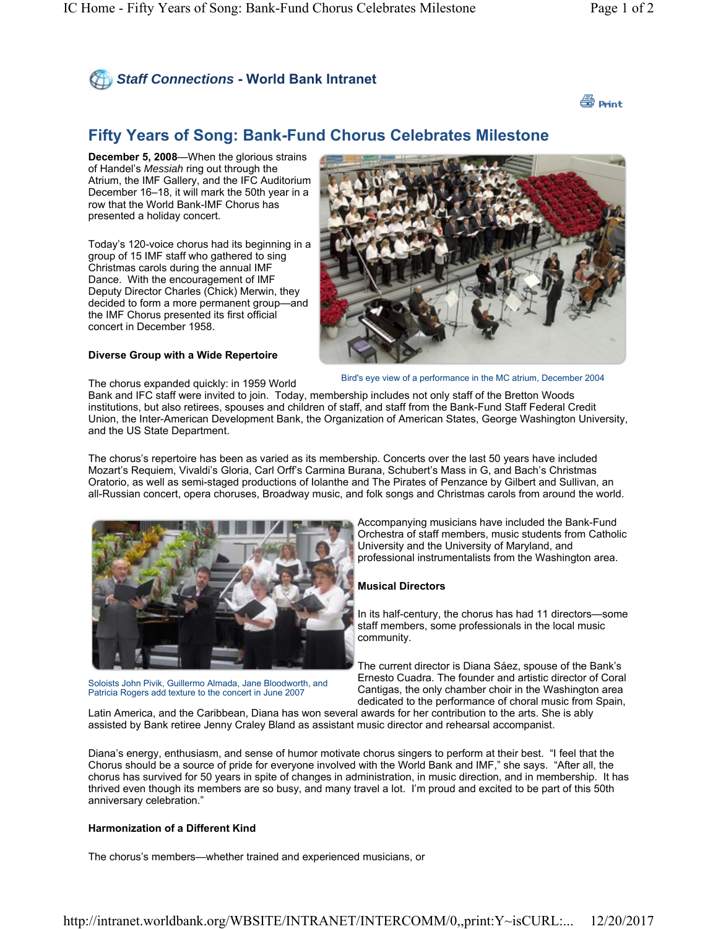



# **Fifty Years of Song: Bank-Fund Chorus Celebrates Milestone**

**December 5, 2008**—When the glorious strains of Handel's *Messiah* ring out through the Atrium, the IMF Gallery, and the IFC Auditorium December 16–18, it will mark the 50th year in a row that the World Bank-IMF Chorus has presented a holiday concert.

Today's 120-voice chorus had its beginning in a group of 15 IMF staff who gathered to sing Christmas carols during the annual IMF Dance. With the encouragement of IMF Deputy Director Charles (Chick) Merwin, they decided to form a more permanent group—and the IMF Chorus presented its first official concert in December 1958.

#### **Diverse Group with a Wide Repertoire**



Bird's eye view of a performance in the MC atrium, December 2004

The chorus expanded quickly: in 1959 World

Bank and IFC staff were invited to join. Today, membership includes not only staff of the Bretton Woods institutions, but also retirees, spouses and children of staff, and staff from the Bank-Fund Staff Federal Credit Union, the Inter-American Development Bank, the Organization of American States, George Washington University, and the US State Department.

The chorus's repertoire has been as varied as its membership. Concerts over the last 50 years have included Mozart's Requiem, Vivaldi's Gloria, Carl Orff's Carmina Burana, Schubert's Mass in G, and Bach's Christmas Oratorio, as well as semi-staged productions of Iolanthe and The Pirates of Penzance by Gilbert and Sullivan, an all-Russian concert, opera choruses, Broadway music, and folk songs and Christmas carols from around the world.



Soloists John Pivik, Guillermo Almada, Jane Bloodworth, and Patricia Rogers add texture to the concert in June 2007

Accompanying musicians have included the Bank-Fund Orchestra of staff members, music students from Catholic University and the University of Maryland, and professional instrumentalists from the Washington area.

### **Musical Directors**

In its half-century, the chorus has had 11 directors—some staff members, some professionals in the local music community.

The current director is Diana Sáez, spouse of the Bank's Ernesto Cuadra. The founder and artistic director of Coral Cantigas, the only chamber choir in the Washington area dedicated to the performance of choral music from Spain,

Latin America, and the Caribbean, Diana has won several awards for her contribution to the arts. She is ably assisted by Bank retiree Jenny Craley Bland as assistant music director and rehearsal accompanist.

Diana's energy, enthusiasm, and sense of humor motivate chorus singers to perform at their best. "I feel that the Chorus should be a source of pride for everyone involved with the World Bank and IMF," she says. "After all, the chorus has survived for 50 years in spite of changes in administration, in music direction, and in membership. It has thrived even though its members are so busy, and many travel a lot. I'm proud and excited to be part of this 50th anniversary celebration."

## **Harmonization of a Different Kind**

The chorus's members—whether trained and experienced musicians, or